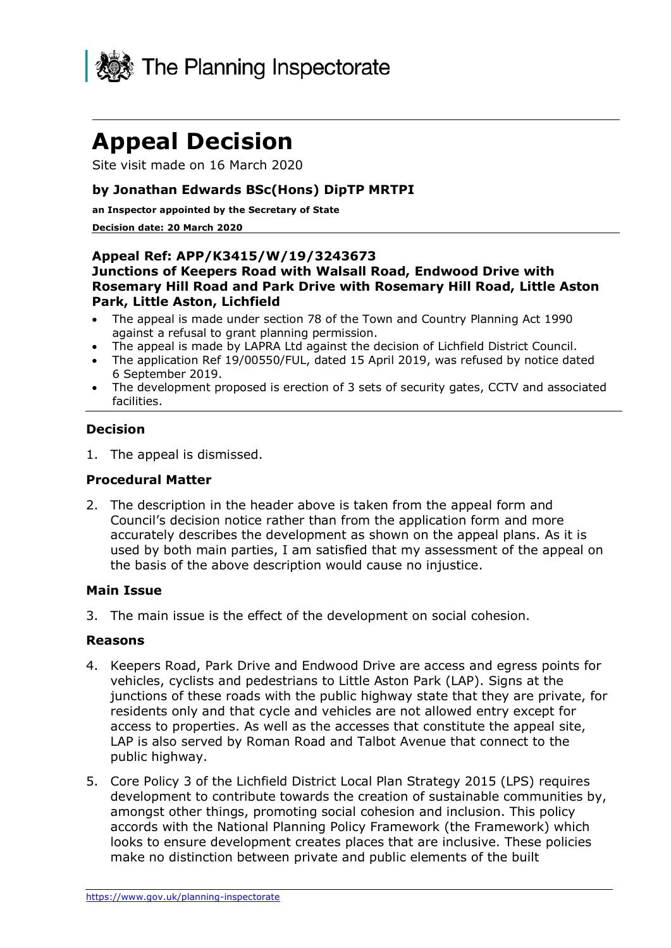

# **Appeal Decision**

Site visit made on 16 March 2020

#### **by Jonathan Edwards BSc(Hons) DipTP MRTPI**

**an Inspector appointed by the Secretary of State**

#### **Decision date: 20 March 2020**

#### **Appeal Ref: APP/K3415/W/19/3243673 Junctions of Keepers Road with Walsall Road, Endwood Drive with Rosemary Hill Road and Park Drive with Rosemary Hill Road, Little Aston Park, Little Aston, Lichfield**

- The appeal is made under section 78 of the Town and Country Planning Act 1990 against a refusal to grant planning permission.
- The appeal is made by LAPRA Ltd against the decision of Lichfield District Council.
- The application Ref 19/00550/FUL, dated 15 April 2019, was refused by notice dated 6 September 2019.
- The development proposed is erection of 3 sets of security gates, CCTV and associated facilities.

#### **Decision**

1. The appeal is dismissed.

#### **Procedural Matter**

2. The description in the header above is taken from the appeal form and Council's decision notice rather than from the application form and more accurately describes the development as shown on the appeal plans. As it is used by both main parties, I am satisfied that my assessment of the appeal on the basis of the above description would cause no injustice.

#### **Main Issue**

3. The main issue is the effect of the development on social cohesion.

#### **Reasons**

- 4. Keepers Road, Park Drive and Endwood Drive are access and egress points for vehicles, cyclists and pedestrians to Little Aston Park (LAP). Signs at the junctions of these roads with the public highway state that they are private, for residents only and that cycle and vehicles are not allowed entry except for access to properties. As well as the accesses that constitute the appeal site, LAP is also served by Roman Road and Talbot Avenue that connect to the public highway.
- 5. Core Policy 3 of the Lichfield District Local Plan Strategy 2015 (LPS) requires development to contribute towards the creation of sustainable communities by, amongst other things, promoting social cohesion and inclusion. This policy accords with the National Planning Policy Framework (the Framework) which looks to ensure development creates places that are inclusive. These policies make no distinction between private and public elements of the built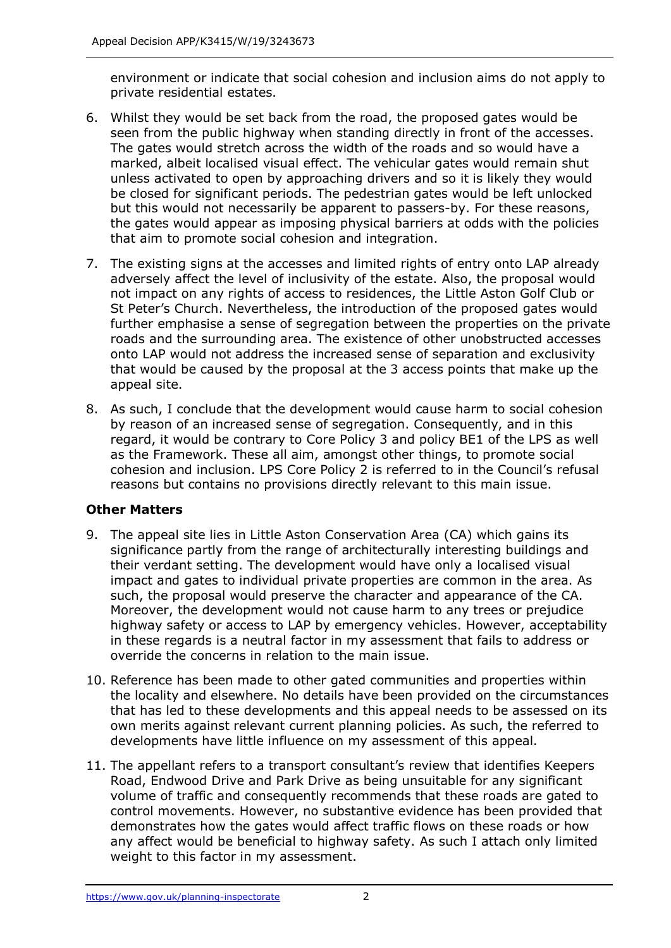environment or indicate that social cohesion and inclusion aims do not apply to private residential estates.

- 6. Whilst they would be set back from the road, the proposed gates would be seen from the public highway when standing directly in front of the accesses. The gates would stretch across the width of the roads and so would have a marked, albeit localised visual effect. The vehicular gates would remain shut unless activated to open by approaching drivers and so it is likely they would be closed for significant periods. The pedestrian gates would be left unlocked but this would not necessarily be apparent to passers-by. For these reasons, the gates would appear as imposing physical barriers at odds with the policies that aim to promote social cohesion and integration.
- 7. The existing signs at the accesses and limited rights of entry onto LAP already adversely affect the level of inclusivity of the estate. Also, the proposal would not impact on any rights of access to residences, the Little Aston Golf Club or St Peter's Church. Nevertheless, the introduction of the proposed gates would further emphasise a sense of segregation between the properties on the private roads and the surrounding area. The existence of other unobstructed accesses onto LAP would not address the increased sense of separation and exclusivity that would be caused by the proposal at the 3 access points that make up the appeal site.
- 8. As such, I conclude that the development would cause harm to social cohesion by reason of an increased sense of segregation. Consequently, and in this regard, it would be contrary to Core Policy 3 and policy BE1 of the LPS as well as the Framework. These all aim, amongst other things, to promote social cohesion and inclusion. LPS Core Policy 2 is referred to in the Council's refusal reasons but contains no provisions directly relevant to this main issue.

#### **Other Matters**

- 9. The appeal site lies in Little Aston Conservation Area (CA) which gains its significance partly from the range of architecturally interesting buildings and their verdant setting. The development would have only a localised visual impact and gates to individual private properties are common in the area. As such, the proposal would preserve the character and appearance of the CA. Moreover, the development would not cause harm to any trees or prejudice highway safety or access to LAP by emergency vehicles. However, acceptability in these regards is a neutral factor in my assessment that fails to address or override the concerns in relation to the main issue.
- 10. Reference has been made to other gated communities and properties within the locality and elsewhere. No details have been provided on the circumstances that has led to these developments and this appeal needs to be assessed on its own merits against relevant current planning policies. As such, the referred to developments have little influence on my assessment of this appeal.
- 11. The appellant refers to a transport consultant's review that identifies Keepers Road, Endwood Drive and Park Drive as being unsuitable for any significant volume of traffic and consequently recommends that these roads are gated to control movements. However, no substantive evidence has been provided that demonstrates how the gates would affect traffic flows on these roads or how any affect would be beneficial to highway safety. As such I attach only limited weight to this factor in my assessment.